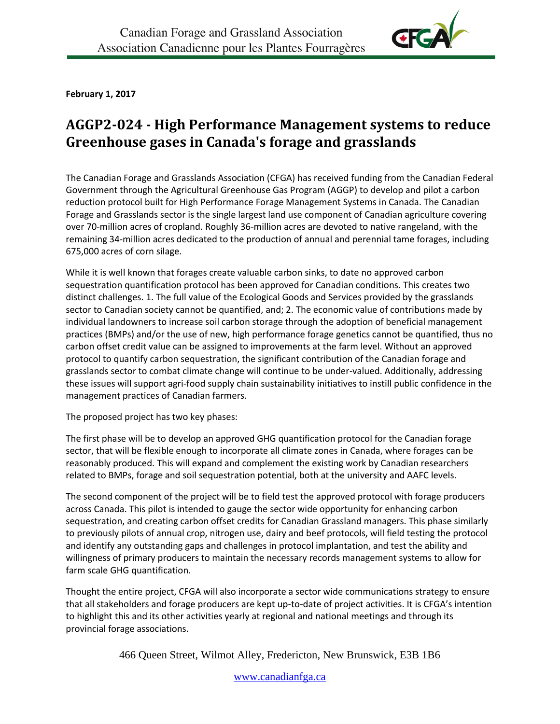

**February 1, 2017**

# **AGGP2-024 - High Performance Management systems to reduce Greenhouse gases in Canada's forage and grasslands**

The Canadian Forage and Grasslands Association (CFGA) has received funding from the Canadian Federal Government through the Agricultural Greenhouse Gas Program (AGGP) to develop and pilot a carbon reduction protocol built for High Performance Forage Management Systems in Canada. The Canadian Forage and Grasslands sector is the single largest land use component of Canadian agriculture covering over 70-million acres of cropland. Roughly 36-million acres are devoted to native rangeland, with the remaining 34-million acres dedicated to the production of annual and perennial tame forages, including 675,000 acres of corn silage.

While it is well known that forages create valuable carbon sinks, to date no approved carbon sequestration quantification protocol has been approved for Canadian conditions. This creates two distinct challenges. 1. The full value of the Ecological Goods and Services provided by the grasslands sector to Canadian society cannot be quantified, and; 2. The economic value of contributions made by individual landowners to increase soil carbon storage through the adoption of beneficial management practices (BMPs) and/or the use of new, high performance forage genetics cannot be quantified, thus no carbon offset credit value can be assigned to improvements at the farm level. Without an approved protocol to quantify carbon sequestration, the significant contribution of the Canadian forage and grasslands sector to combat climate change will continue to be under-valued. Additionally, addressing these issues will support agri-food supply chain sustainability initiatives to instill public confidence in the management practices of Canadian farmers.

The proposed project has two key phases:

The first phase will be to develop an approved GHG quantification protocol for the Canadian forage sector, that will be flexible enough to incorporate all climate zones in Canada, where forages can be reasonably produced. This will expand and complement the existing work by Canadian researchers related to BMPs, forage and soil sequestration potential, both at the university and AAFC levels.

The second component of the project will be to field test the approved protocol with forage producers across Canada. This pilot is intended to gauge the sector wide opportunity for enhancing carbon sequestration, and creating carbon offset credits for Canadian Grassland managers. This phase similarly to previously pilots of annual crop, nitrogen use, dairy and beef protocols, will field testing the protocol and identify any outstanding gaps and challenges in protocol implantation, and test the ability and willingness of primary producers to maintain the necessary records management systems to allow for farm scale GHG quantification.

Thought the entire project, CFGA will also incorporate a sector wide communications strategy to ensure that all stakeholders and forage producers are kept up-to-date of project activities. It is CFGA's intention to highlight this and its other activities yearly at regional and national meetings and through its provincial forage associations.

466 Queen Street, Wilmot Alley, Fredericton, New Brunswick, E3B 1B6